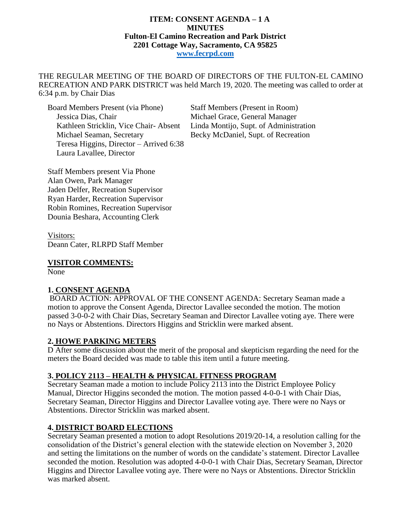#### **ITEM: CONSENT AGENDA – 1 A MINUTES Fulton-El Camino Recreation and Park District 2201 Cottage Way, Sacramento, CA 95825 [www.fecrpd.com](http://www.fecrpd.com/)**

THE REGULAR MEETING OF THE BOARD OF DIRECTORS OF THE FULTON-EL CAMINO RECREATION AND PARK DISTRICT was held March 19, 2020. The meeting was called to order at 6:34 p.m. by Chair Dias

Board Members Present (via Phone) Staff Members (Present in Room) Jessica Dias, Chair Michael Grace, General Manager Kathleen Stricklin, Vice Chair- Absent Linda Montijo, Supt. of Administration Michael Seaman, Secretary Becky McDaniel, Supt. of Recreation Teresa Higgins, Director – Arrived 6:38 Laura Lavallee, Director

Staff Members present Via Phone Alan Owen, Park Manager Jaden Delfer, Recreation Supervisor Ryan Harder, Recreation Supervisor Robin Romines, Recreation Supervisor Dounia Beshara, Accounting Clerk

Visitors: Deann Cater, RLRPD Staff Member

#### **VISITOR COMMENTS:**

None

### **1. CONSENT AGENDA**

BOARD ACTION: APPROVAL OF THE CONSENT AGENDA: Secretary Seaman made a motion to approve the Consent Agenda, Director Lavallee seconded the motion. The motion passed 3-0-0-2 with Chair Dias, Secretary Seaman and Director Lavallee voting aye. There were no Nays or Abstentions. Directors Higgins and Stricklin were marked absent.

### **2. HOWE PARKING METERS**

D After some discussion about the merit of the proposal and skepticism regarding the need for the meters the Board decided was made to table this item until a future meeting.

### **3. POLICY 2113 – HEALTH & PHYSICAL FITNESS PROGRAM**

Secretary Seaman made a motion to include Policy 2113 into the District Employee Policy Manual, Director Higgins seconded the motion. The motion passed 4-0-0-1 with Chair Dias, Secretary Seaman, Director Higgins and Director Lavallee voting aye. There were no Nays or Abstentions. Director Stricklin was marked absent.

### **4. DISTRICT BOARD ELECTIONS**

Secretary Seaman presented a motion to adopt Resolutions 2019/20-14, a resolution calling for the consolidation of the District's general election with the statewide election on November 3, 2020 and setting the limitations on the number of words on the candidate's statement. Director Lavallee seconded the motion. Resolution was adopted 4-0-0-1 with Chair Dias, Secretary Seaman, Director Higgins and Director Lavallee voting aye. There were no Nays or Abstentions. Director Stricklin was marked absent.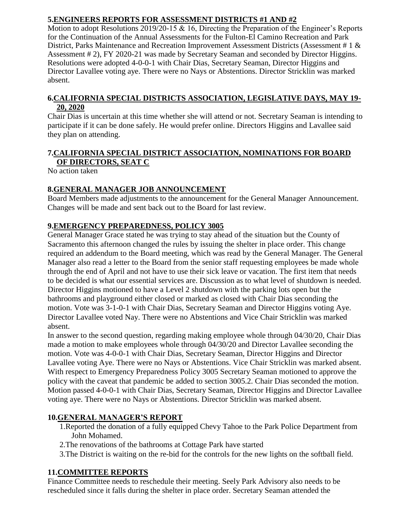## **5.ENGINEERS REPORTS FOR ASSESSMENT DISTRICTS #1 AND #2**

Motion to adopt Resolutions 2019/20-15 & 16, Directing the Preparation of the Engineer's Reports for the Continuation of the Annual Assessments for the Fulton-El Camino Recreation and Park District, Parks Maintenance and Recreation Improvement Assessment Districts (Assessment # 1 & Assessment # 2), FY 2020-21 was made by Secretary Seaman and seconded by Director Higgins. Resolutions were adopted 4-0-0-1 with Chair Dias, Secretary Seaman, Director Higgins and Director Lavallee voting aye. There were no Nays or Abstentions. Director Stricklin was marked absent.

### **6.CALIFORNIA SPECIAL DISTRICTS ASSOCIATION, LEGISLATIVE DAYS, MAY 19- 20, 2020**

Chair Dias is uncertain at this time whether she will attend or not. Secretary Seaman is intending to participate if it can be done safely. He would prefer online. Directors Higgins and Lavallee said they plan on attending.

## **7.CALIFORNIA SPECIAL DISTRICT ASSOCIATION, NOMINATIONS FOR BOARD OF DIRECTORS, SEAT C**

No action taken

## **8.GENERAL MANAGER JOB ANNOUNCEMENT**

Board Members made adjustments to the announcement for the General Manager Announcement. Changes will be made and sent back out to the Board for last review.

## **9.EMERGENCY PREPAREDNESS, POLICY 3005**

General Manager Grace stated he was trying to stay ahead of the situation but the County of Sacramento this afternoon changed the rules by issuing the shelter in place order. This change required an addendum to the Board meeting, which was read by the General Manager. The General Manager also read a letter to the Board from the senior staff requesting employees be made whole through the end of April and not have to use their sick leave or vacation. The first item that needs to be decided is what our essential services are. Discussion as to what level of shutdown is needed. Director Higgins motioned to have a Level 2 shutdown with the parking lots open but the bathrooms and playground either closed or marked as closed with Chair Dias seconding the motion. Vote was 3-1-0-1 with Chair Dias, Secretary Seaman and Director Higgins voting Aye. Director Lavallee voted Nay. There were no Abstentions and Vice Chair Stricklin was marked absent.

In answer to the second question, regarding making employee whole through 04/30/20, Chair Dias made a motion to make employees whole through 04/30/20 and Director Lavallee seconding the motion. Vote was 4-0-0-1 with Chair Dias, Secretary Seaman, Director Higgins and Director Lavallee voting Aye. There were no Nays or Abstentions. Vice Chair Stricklin was marked absent. With respect to Emergency Preparedness Policy 3005 Secretary Seaman motioned to approve the policy with the caveat that pandemic be added to section 3005.2. Chair Dias seconded the motion. Motion passed 4-0-0-1 with Chair Dias, Secretary Seaman, Director Higgins and Director Lavallee voting aye. There were no Nays or Abstentions. Director Stricklin was marked absent.

# **10.GENERAL MANAGER'S REPORT**

- 1.Reported the donation of a fully equipped Chevy Tahoe to the Park Police Department from John Mohamed.
- 2.The renovations of the bathrooms at Cottage Park have started
- 3.The District is waiting on the re-bid for the controls for the new lights on the softball field.

# **11.COMMITTEE REPORTS**

Finance Committee needs to reschedule their meeting. Seely Park Advisory also needs to be rescheduled since it falls during the shelter in place order. Secretary Seaman attended the